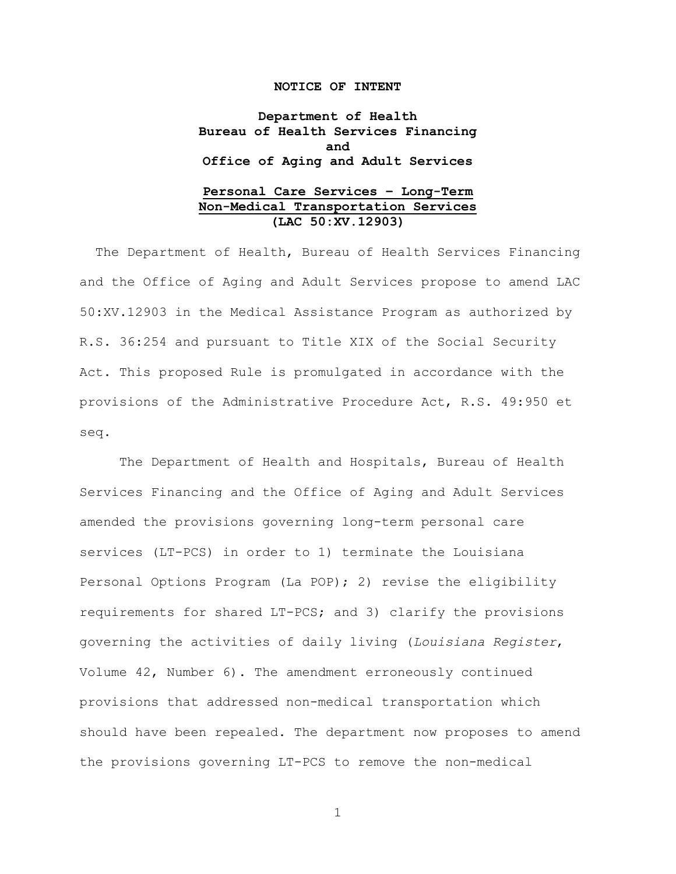#### **NOTICE OF INTENT**

**Department of Health Bureau of Health Services Financing and Office of Aging and Adult Services**

## **Personal Care Services – Long-Term Non-Medical Transportation Services (LAC 50:XV.12903)**

The Department of Health, Bureau of Health Services Financing and the Office of Aging and Adult Services propose to amend LAC 50:XV.12903 in the Medical Assistance Program as authorized by R.S. 36:254 and pursuant to Title XIX of the Social Security Act. This proposed Rule is promulgated in accordance with the provisions of the Administrative Procedure Act, R.S. 49:950 et seq.

The Department of Health and Hospitals, Bureau of Health Services Financing and the Office of Aging and Adult Services amended the provisions governing long-term personal care services (LT-PCS) in order to 1) terminate the Louisiana Personal Options Program (La POP); 2) revise the eligibility requirements for shared LT-PCS; and 3) clarify the provisions governing the activities of daily living (*Louisiana Register*, Volume 42, Number 6). The amendment erroneously continued provisions that addressed non-medical transportation which should have been repealed. The department now proposes to amend the provisions governing LT-PCS to remove the non-medical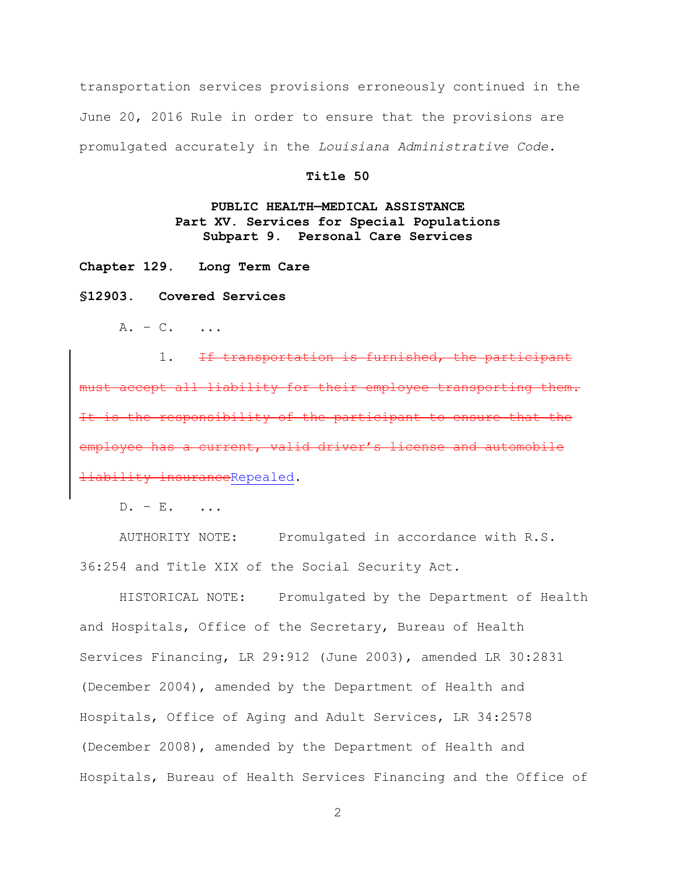transportation services provisions erroneously continued in the June 20, 2016 Rule in order to ensure that the provisions are promulgated accurately in the *Louisiana Administrative Code*.

### **Title 50**

# **PUBLIC HEALTH—MEDICAL ASSISTANCE Part XV. Services for Special Populations Subpart 9. Personal Care Services**

**Chapter 129. Long Term Care**

#### **§12903. Covered Services**

 $A. - C.$  ...

1. If transportation is furnished, the participant must accept all liability for their employee transporting them. responsibility of the participant to ensure that the a current, valid driver's license and automobile ability insuranceRepealed.

 $D. - E.$ 

AUTHORITY NOTE: Promulgated in accordance with R.S. 36:254 and Title XIX of the Social Security Act.

HISTORICAL NOTE: Promulgated by the Department of Health and Hospitals, Office of the Secretary, Bureau of Health Services Financing, LR 29:912 (June 2003), amended LR 30:2831 (December 2004), amended by the Department of Health and Hospitals, Office of Aging and Adult Services, LR 34:2578 (December 2008), amended by the Department of Health and Hospitals, Bureau of Health Services Financing and the Office of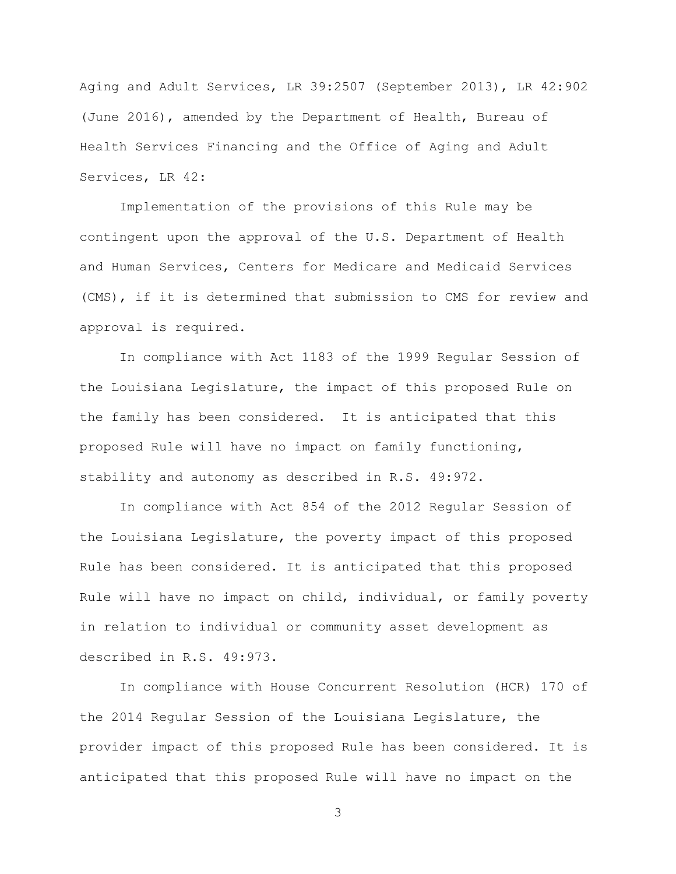Aging and Adult Services, LR 39:2507 (September 2013), LR 42:902 (June 2016), amended by the Department of Health, Bureau of Health Services Financing and the Office of Aging and Adult Services, LR 42:

Implementation of the provisions of this Rule may be contingent upon the approval of the U.S. Department of Health and Human Services, Centers for Medicare and Medicaid Services (CMS), if it is determined that submission to CMS for review and approval is required.

In compliance with Act 1183 of the 1999 Regular Session of the Louisiana Legislature, the impact of this proposed Rule on the family has been considered. It is anticipated that this proposed Rule will have no impact on family functioning, stability and autonomy as described in R.S. 49:972.

In compliance with Act 854 of the 2012 Regular Session of the Louisiana Legislature, the poverty impact of this proposed Rule has been considered. It is anticipated that this proposed Rule will have no impact on child, individual, or family poverty in relation to individual or community asset development as described in R.S. 49:973.

In compliance with House Concurrent Resolution (HCR) 170 of the 2014 Regular Session of the Louisiana Legislature, the provider impact of this proposed Rule has been considered. It is anticipated that this proposed Rule will have no impact on the